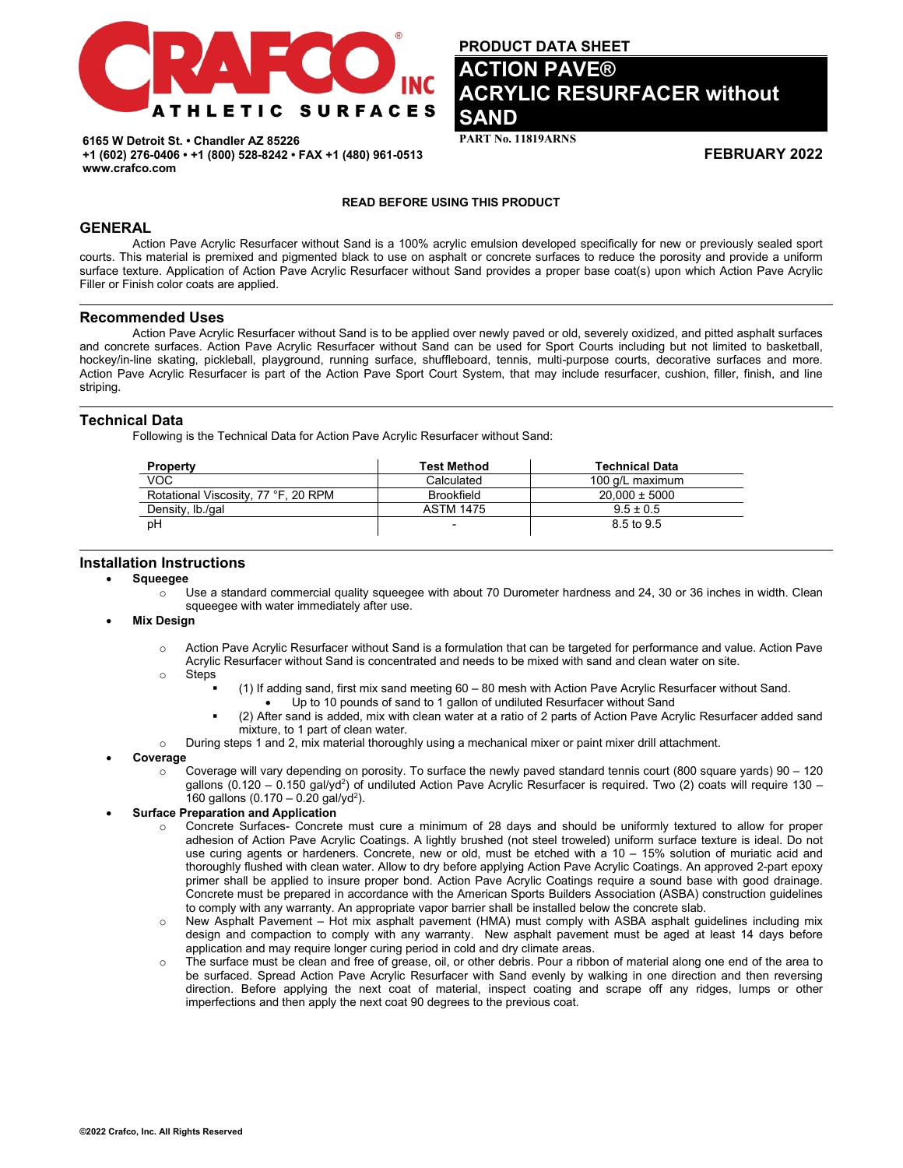

**PRODUCT DATA SHEET** 

# **ACTION PAVE® ACRYLIC RESURFACER without SAND**

**PART No. 11819ARNS** 

**FEBRUARY 2022**

**6165 W Detroit St. • Chandler AZ 85226 +1 (602) 276-0406 • +1 (800) 528-8242 • FAX +1 (480) 961-0513 www.crafco.com**

#### **READ BEFORE USING THIS PRODUCT**

# **GENERAL**

Action Pave Acrylic Resurfacer without Sand is a 100% acrylic emulsion developed specifically for new or previously sealed sport courts. This material is premixed and pigmented black to use on asphalt or concrete surfaces to reduce the porosity and provide a uniform surface texture. Application of Action Pave Acrylic Resurfacer without Sand provides a proper base coat(s) upon which Action Pave Acrylic Filler or Finish color coats are applied.

#### **Recommended Uses**

Action Pave Acrylic Resurfacer without Sand is to be applied over newly paved or old, severely oxidized, and pitted asphalt surfaces and concrete surfaces. Action Pave Acrylic Resurfacer without Sand can be used for Sport Courts including but not limited to basketball, hockey/in-line skating, pickleball, playground, running surface, shuffleboard, tennis, multi-purpose courts, decorative surfaces and more. Action Pave Acrylic Resurfacer is part of the Action Pave Sport Court System, that may include resurfacer, cushion, filler, finish, and line striping.

# **Technical Data**

Following is the Technical Data for Action Pave Acrylic Resurfacer without Sand:

| <b>Property</b>                     | <b>Test Method</b> | <b>Technical Data</b> |
|-------------------------------------|--------------------|-----------------------|
| VOC                                 | Calculated         | 100 g/L maximum       |
| Rotational Viscosity, 77 °F, 20 RPM | <b>Brookfield</b>  | $20.000 \pm 5000$     |
| Density, lb./gal                    | <b>ASTM 1475</b>   | $9.5 \pm 0.5$         |
| pH                                  | -                  | 8.5 to 9.5            |

# **Installation Instructions**

- **Squeegee**
	- o Use a standard commercial quality squeegee with about 70 Durometer hardness and 24, 30 or 36 inches in width. Clean squeegee with water immediately after use.

#### • **Mix Design**

- o Action Pave Acrylic Resurfacer without Sand is a formulation that can be targeted for performance and value. Action Pave Acrylic Resurfacer without Sand is concentrated and needs to be mixed with sand and clean water on site.
- o Steps
	- (1) If adding sand, first mix sand meeting 60 80 mesh with Action Pave Acrylic Resurfacer without Sand.
	- Up to 10 pounds of sand to 1 gallon of undiluted Resurfacer without Sand
	- (2) After sand is added, mix with clean water at a ratio of 2 parts of Action Pave Acrylic Resurfacer added sand mixture, to 1 part of clean water.
- o During steps 1 and 2, mix material thoroughly using a mechanical mixer or paint mixer drill attachment.

#### • **Coverage**

 $\circ$  Coverage will vary depending on porosity. To surface the newly paved standard tennis court (800 square yards) 90 – 120 gallons (0.120 – 0.150 gal/yd<sup>2</sup>) of undiluted Action Pave Acrylic Resurfacer is required. Two (2) coats will require 130 – 160 gallons  $(0.170 - 0.20$  gal/yd<sup>2</sup>).

# • **Surface Preparation and Application**

- o Concrete Surfaces- Concrete must cure a minimum of 28 days and should be uniformly textured to allow for proper adhesion of Action Pave Acrylic Coatings. A lightly brushed (not steel troweled) uniform surface texture is ideal. Do not use curing agents or hardeners. Concrete, new or old, must be etched with a 10 – 15% solution of muriatic acid and thoroughly flushed with clean water. Allow to dry before applying Action Pave Acrylic Coatings. An approved 2-part epoxy primer shall be applied to insure proper bond. Action Pave Acrylic Coatings require a sound base with good drainage. Concrete must be prepared in accordance with the American Sports Builders Association (ASBA) construction guidelines to comply with any warranty. An appropriate vapor barrier shall be installed below the concrete slab.
- o New Asphalt Pavement Hot mix asphalt pavement (HMA) must comply with ASBA asphalt guidelines including mix design and compaction to comply with any warranty. New asphalt pavement must be aged at least 14 days before application and may require longer curing period in cold and dry climate areas.
- o The surface must be clean and free of grease, oil, or other debris. Pour a ribbon of material along one end of the area to be surfaced. Spread Action Pave Acrylic Resurfacer with Sand evenly by walking in one direction and then reversing direction. Before applying the next coat of material, inspect coating and scrape off any ridges, lumps or other imperfections and then apply the next coat 90 degrees to the previous coat.